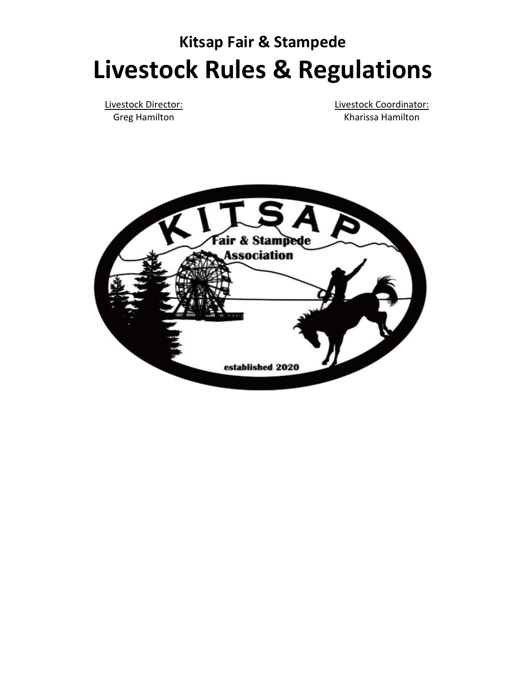# **Kitsap Fair & Stampede Livestock Rules & Regulations**

Livestock Director: Greg Hamilton

Livestock Coordinator: Kharissa Hamilton

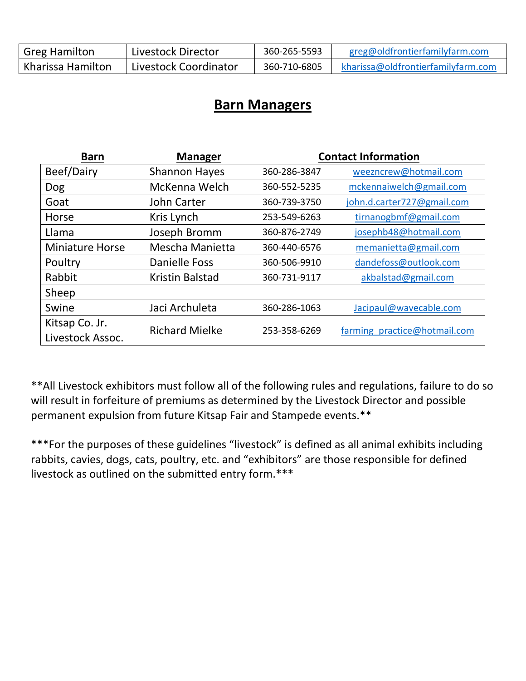| <b>Greg Hamilton</b> | Livestock Director    | 360-265-5593 | greg@oldfrontierfamilyfarm.com     |
|----------------------|-----------------------|--------------|------------------------------------|
| Kharissa Hamilton    | Livestock Coordinator | 360-710-6805 | kharissa@oldfrontierfamilyfarm.com |

# **Barn Managers**

| <b>Barn</b>            | <b>Manager</b>        | <b>Contact Information</b> |                              |
|------------------------|-----------------------|----------------------------|------------------------------|
| Beef/Dairy             | <b>Shannon Hayes</b>  | 360-286-3847               | weezncrew@hotmail.com        |
| Dog                    | McKenna Welch         | 360-552-5235               | mckennaiwelch@gmail.com      |
| Goat                   | John Carter           | 360-739-3750               | john.d.carter727@gmail.com   |
| Horse                  | Kris Lynch            | 253-549-6263               | tirnanogbmf@gmail.com        |
| Llama                  | Joseph Bromm          | 360-876-2749               | josephb48@hotmail.com        |
| <b>Miniature Horse</b> | Mescha Manietta       | 360-440-6576               | memanietta@gmail.com         |
| Poultry                | Danielle Foss         | 360-506-9910               | dandefoss@outlook.com        |
| Rabbit                 | Kristin Balstad       | 360-731-9117               | akbalstad@gmail.com          |
| Sheep                  |                       |                            |                              |
| Swine                  | Jaci Archuleta        | 360-286-1063               | Jacipaul@wavecable.com       |
| Kitsap Co. Jr.         | <b>Richard Mielke</b> | 253-358-6269               | farming practice@hotmail.com |
| Livestock Assoc.       |                       |                            |                              |

\*\*All Livestock exhibitors must follow all of the following rules and regulations, failure to do so will result in forfeiture of premiums as determined by the Livestock Director and possible permanent expulsion from future Kitsap Fair and Stampede events.\*\*

\*\*\*For the purposes of these guidelines "livestock" is defined as all animal exhibits including rabbits, cavies, dogs, cats, poultry, etc. and "exhibitors" are those responsible for defined livestock as outlined on the submitted entry form.\*\*\*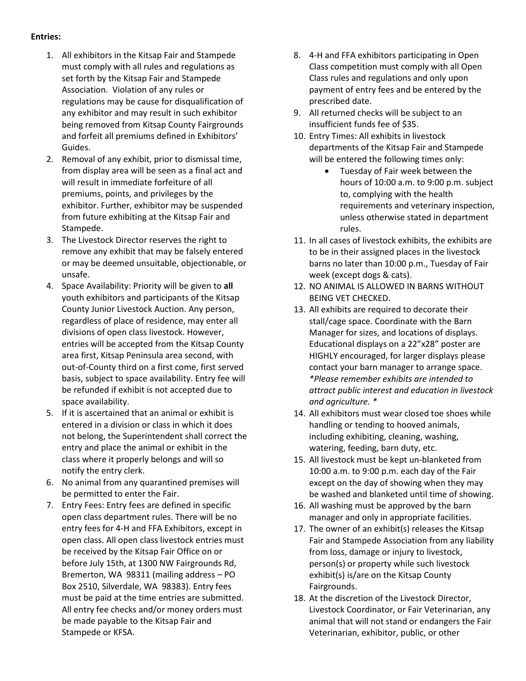#### **Entries:**

- 1. All exhibitors in the Kitsap Fair and Stampede must comply with all rules and regulations as set forth by the Kitsap Fair and Stampede Association. Violation of any rules or regulations may be cause for disqualification of any exhibitor and may result in such exhibitor being removed from Kitsap County Fairgrounds and forfeit all premiums defined in Exhibitors' Guides.
- 2. Removal of any exhibit, prior to dismissal time, from display area will be seen as a final act and will result in immediate forfeiture of all premiums, points, and privileges by the exhibitor. Further, exhibitor may be suspended from future exhibiting at the Kitsap Fair and Stampede.
- 3. The Livestock Director reserves the right to remove any exhibit that may be falsely entered or may be deemed unsuitable, objectionable, or unsafe.
- 4. Space Availability: Priority will be given to **all** youth exhibitors and participants of the Kitsap County Junior Livestock Auction. Any person, regardless of place of residence, may enter all divisions of open class livestock. However, entries will be accepted from the Kitsap County area first, Kitsap Peninsula area second, with out-of-County third on a first come, first served basis, subject to space availability. Entry fee will be refunded if exhibit is not accepted due to space availability.
- 5. If it is ascertained that an animal or exhibit is entered in a division or class in which it does not belong, the Superintendent shall correct the entry and place the animal or exhibit in the class where it properly belongs and will so notify the entry clerk.
- 6. No animal from any quarantined premises will be permitted to enter the Fair.
- 7. Entry Fees: Entry fees are defined in specific open class department rules. There will be no entry fees for 4-H and FFA Exhibitors, except in open class. All open class livestock entries must be received by the Kitsap Fair Office on or before July 15th, at 1300 NW Fairgrounds Rd, Bremerton, WA 98311 (mailing address – PO Box 2510, Silverdale, WA 98383). Entry fees must be paid at the time entries are submitted. All entry fee checks and/or money orders must be made payable to the Kitsap Fair and Stampede or KFSA.
- 8. 4-H and FFA exhibitors participating in Open Class competition must comply with all Open Class rules and regulations and only upon payment of entry fees and be entered by the prescribed date.
- 9. All returned checks will be subject to an insufficient funds fee of \$35.
- 10. Entry Times: All exhibits in livestock departments of the Kitsap Fair and Stampede will be entered the following times only:
	- Tuesday of Fair week between the hours of 10:00 a.m. to 9:00 p.m. subject to, complying with the health requirements and veterinary inspection, unless otherwise stated in department rules.
- 11. In all cases of livestock exhibits, the exhibits are to be in their assigned places in the livestock barns no later than 10:00 p.m., Tuesday of Fair week (except dogs & cats).
- 12. NO ANIMAL IS ALLOWED IN BARNS WITHOUT BEING VET CHECKED.
- 13. All exhibits are required to decorate their stall/cage space. Coordinate with the Barn Manager for sizes, and locations of displays. Educational displays on a 22"x28" poster are HIGHLY encouraged, for larger displays please contact your barn manager to arrange space. *\*Please remember exhibits are intended to attract public interest and education in livestock and agriculture. \**
- 14. All exhibitors must wear closed toe shoes while handling or tending to hooved animals, including exhibiting, cleaning, washing, watering, feeding, barn duty, etc.
- 15. All livestock must be kept un-blanketed from 10:00 a.m. to 9:00 p.m. each day of the Fair except on the day of showing when they may be washed and blanketed until time of showing.
- 16. All washing must be approved by the barn manager and only in appropriate facilities.
- 17. The owner of an exhibit(s) releases the Kitsap Fair and Stampede Association from any liability from loss, damage or injury to livestock, person(s) or property while such livestock exhibit(s) is/are on the Kitsap County Fairgrounds.
- 18. At the discretion of the Livestock Director, Livestock Coordinator, or Fair Veterinarian, any animal that will not stand or endangers the Fair Veterinarian, exhibitor, public, or other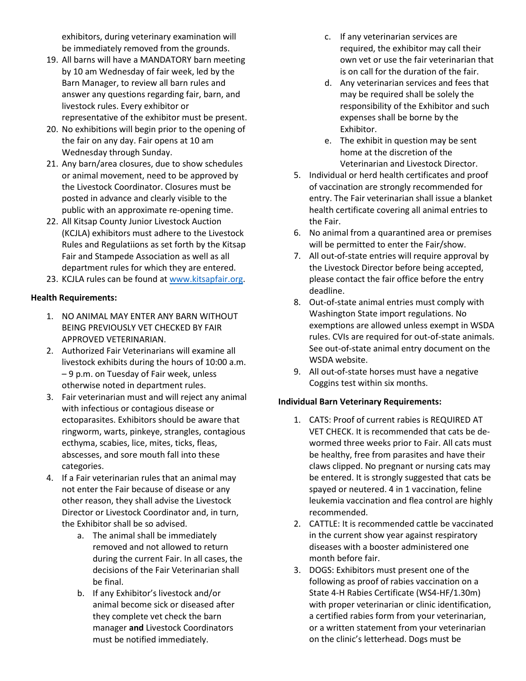exhibitors, during veterinary examination will be immediately removed from the grounds.

- 19. All barns will have a MANDATORY barn meeting by 10 am Wednesday of fair week, led by the Barn Manager, to review all barn rules and answer any questions regarding fair, barn, and livestock rules. Every exhibitor or representative of the exhibitor must be present.
- 20. No exhibitions will begin prior to the opening of the fair on any day. Fair opens at 10 am Wednesday through Sunday.
- 21. Any barn/area closures, due to show schedules or animal movement, need to be approved by the Livestock Coordinator. Closures must be posted in advance and clearly visible to the public with an approximate re-opening time.
- 22. All Kitsap County Junior Livestock Auction (KCJLA) exhibitors must adhere to the Livestock Rules and Regulatiions as set forth by the Kitsap Fair and Stampede Association as well as all department rules for which they are entered.
- 23. KCJLA rules can be found at [www.kitsapfair.o](http://www.kitsapfair./)rg.

#### **Health Requirements:**

- 1. NO ANIMAL MAY ENTER ANY BARN WITHOUT BEING PREVIOUSLY VET CHECKED BY FAIR APPROVED VETERINARIAN.
- 2. Authorized Fair Veterinarians will examine all livestock exhibits during the hours of 10:00 a.m. – 9 p.m. on Tuesday of Fair week, unless otherwise noted in department rules.
- 3. Fair veterinarian must and will reject any animal with infectious or contagious disease or ectoparasites. Exhibitors should be aware that ringworm, warts, pinkeye, strangles, contagious ecthyma, scabies, lice, mites, ticks, fleas, abscesses, and sore mouth fall into these categories.
- 4. If a Fair veterinarian rules that an animal may not enter the Fair because of disease or any other reason, they shall advise the Livestock Director or Livestock Coordinator and, in turn, the Exhibitor shall be so advised.
	- a. The animal shall be immediately removed and not allowed to return during the current Fair. In all cases, the decisions of the Fair Veterinarian shall be final.
	- b. If any Exhibitor's livestock and/or animal become sick or diseased after they complete vet check the barn manager **and** Livestock Coordinators must be notified immediately.
- c. If any veterinarian services are required, the exhibitor may call their own vet or use the fair veterinarian that is on call for the duration of the fair.
- d. Any veterinarian services and fees that may be required shall be solely the responsibility of the Exhibitor and such expenses shall be borne by the Exhibitor.
- e. The exhibit in question may be sent home at the discretion of the Veterinarian and Livestock Director.
- 5. Individual or herd health certificates and proof of vaccination are strongly recommended for entry. The Fair veterinarian shall issue a blanket health certificate covering all animal entries to the Fair.
- 6. No animal from a quarantined area or premises will be permitted to enter the Fair/show.
- 7. All out-of-state entries will require approval by the Livestock Director before being accepted, please contact the fair office before the entry deadline.
- 8. Out-of-state animal entries must comply with Washington State import regulations. No exemptions are allowed unless exempt in WSDA rules. CVIs are required for out-of-state animals. See out-of-state animal entry document on the WSDA website.
- 9. All out-of-state horses must have a negative Coggins test within six months.

#### **Individual Barn Veterinary Requirements:**

- 1. CATS: Proof of current rabies is REQUIRED AT VET CHECK. It is recommended that cats be dewormed three weeks prior to Fair. All cats must be healthy, free from parasites and have their claws clipped. No pregnant or nursing cats may be entered. It is strongly suggested that cats be spayed or neutered. 4 in 1 vaccination, feline leukemia vaccination and flea control are highly recommended.
- 2. CATTLE: It is recommended cattle be vaccinated in the current show year against respiratory diseases with a booster administered one month before fair.
- 3. DOGS: Exhibitors must present one of the following as proof of rabies vaccination on a State 4-H Rabies Certificate (WS4-HF/1.30m) with proper veterinarian or clinic identification, a certified rabies form from your veterinarian, or a written statement from your veterinarian on the clinic's letterhead. Dogs must be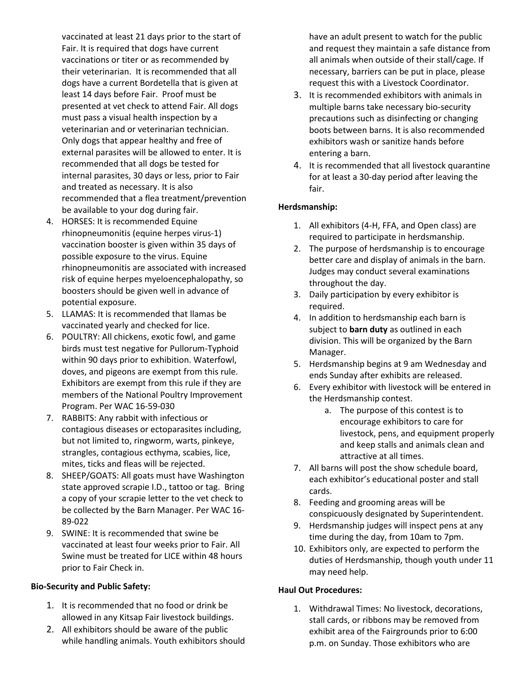vaccinated at least 21 days prior to the start of Fair. It is required that dogs have current vaccinations or titer or as recommended by their veterinarian. It is recommended that all dogs have a current Bordetella that is given at least 14 days before Fair. Proof must be presented at vet check to attend Fair. All dogs must pass a visual health inspection by a veterinarian and or veterinarian technician. Only dogs that appear healthy and free of external parasites will be allowed to enter. It is recommended that all dogs be tested for internal parasites, 30 days or less, prior to Fair and treated as necessary. It is also recommended that a flea treatment/prevention be available to your dog during fair.

- 4. HORSES: It is recommended Equine rhinopneumonitis (equine herpes virus-1) vaccination booster is given within 35 days of possible exposure to the virus. Equine rhinopneumonitis are associated with increased risk of equine herpes myeloencephalopathy, so boosters should be given well in advance of potential exposure.
- 5. LLAMAS: It is recommended that llamas be vaccinated yearly and checked for lice.
- 6. POULTRY: All chickens, exotic fowl, and game birds must test negative for Pullorum-Typhoid within 90 days prior to exhibition. Waterfowl, doves, and pigeons are exempt from this rule. Exhibitors are exempt from this rule if they are members of the National Poultry Improvement Program. Per WAC 16-59-030
- 7. RABBITS: Any rabbit with infectious or contagious diseases or ectoparasites including, but not limited to, ringworm, warts, pinkeye, strangles, contagious ecthyma, scabies, lice, mites, ticks and fleas will be rejected.
- 8. SHEEP/GOATS: All goats must have Washington state approved scrapie I.D., tattoo or tag. Bring a copy of your scrapie letter to the vet check to be collected by the Barn Manager. Per WAC 16- 89-022
- 9. SWINE: It is recommended that swine be vaccinated at least four weeks prior to Fair. All Swine must be treated for LICE within 48 hours prior to Fair Check in.

## **Bio-Security and Public Safety:**

- 1. It is recommended that no food or drink be allowed in any Kitsap Fair livestock buildings.
- 2. All exhibitors should be aware of the public while handling animals. Youth exhibitors should

have an adult present to watch for the public and request they maintain a safe distance from all animals when outside of their stall/cage. If necessary, barriers can be put in place, please request this with a Livestock Coordinator.

- 3. It is recommended exhibitors with animals in multiple barns take necessary bio-security precautions such as disinfecting or changing boots between barns. It is also recommended exhibitors wash or sanitize hands before entering a barn.
- 4. It is recommended that all livestock quarantine for at least a 30-day period after leaving the fair.

## **Herdsmanship:**

- 1. All exhibitors (4-H, FFA, and Open class) are required to participate in herdsmanship.
- 2. The purpose of herdsmanship is to encourage better care and display of animals in the barn. Judges may conduct several examinations throughout the day.
- 3. Daily participation by every exhibitor is required.
- 4. In addition to herdsmanship each barn is subject to **barn duty** as outlined in each division. This will be organized by the Barn Manager.
- 5. Herdsmanship begins at 9 am Wednesday and ends Sunday after exhibits are released.
- 6. Every exhibitor with livestock will be entered in the Herdsmanship contest.
	- a. The purpose of this contest is to encourage exhibitors to care for livestock, pens, and equipment properly and keep stalls and animals clean and attractive at all times.
- 7. All barns will post the show schedule board, each exhibitor's educational poster and stall cards.
- 8. Feeding and grooming areas will be conspicuously designated by Superintendent.
- 9. Herdsmanship judges will inspect pens at any time during the day, from 10am to 7pm.
- 10. Exhibitors only, are expected to perform the duties of Herdsmanship, though youth under 11 may need help.

## **Haul Out Procedures:**

1. Withdrawal Times: No livestock, decorations, stall cards, or ribbons may be removed from exhibit area of the Fairgrounds prior to 6:00 p.m. on Sunday. Those exhibitors who are